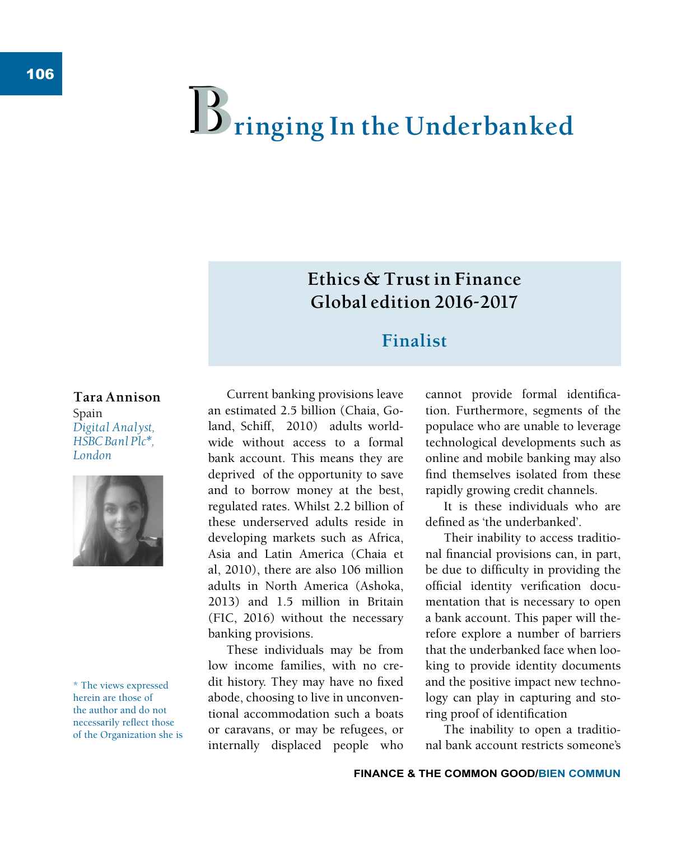# $\mathbf{B}$  ringing In the Underbanked

# **Ethics & Trust in Finance Global edition 2016-2017**

# **Finalist**

#### **Tara Annison** Spain *Digital Analyst, HSBC Banl Plc\*, London*



\* The views expressed herein are those of the author and do not necessarily reflect those of the Organization she is

Current banking provisions leave an estimated 2.5 billion (Chaia, Goland, Schiff, 2010) adults worldwide without access to a formal bank account. This means they are deprived of the opportunity to save and to borrow money at the best, regulated rates. Whilst 2.2 billion of these underserved adults reside in developing markets such as Africa, Asia and Latin America (Chaia et al, 2010), there are also 106 million adults in North America (Ashoka, 2013) and 1.5 million in Britain (FIC, 2016) without the necessary banking provisions.

These individuals may be from low income families, with no credit history. They may have no fixed abode, choosing to live in unconventional accommodation such a boats or caravans, or may be refugees, or internally displaced people who cannot provide formal identification. Furthermore, segments of the populace who are unable to leverage technological developments such as online and mobile banking may also find themselves isolated from these rapidly growing credit channels.

It is these individuals who are defined as 'the underbanked'

Their inability to access traditional financial provisions can, in part, be due to difficulty in providing the official identity verification documentation that is necessary to open a bank account. This paper will therefore explore a number of barriers that the underbanked face when looking to provide identity documents and the positive impact new technology can play in capturing and storing proof of identification

The inability to open a traditional bank account restricts someone's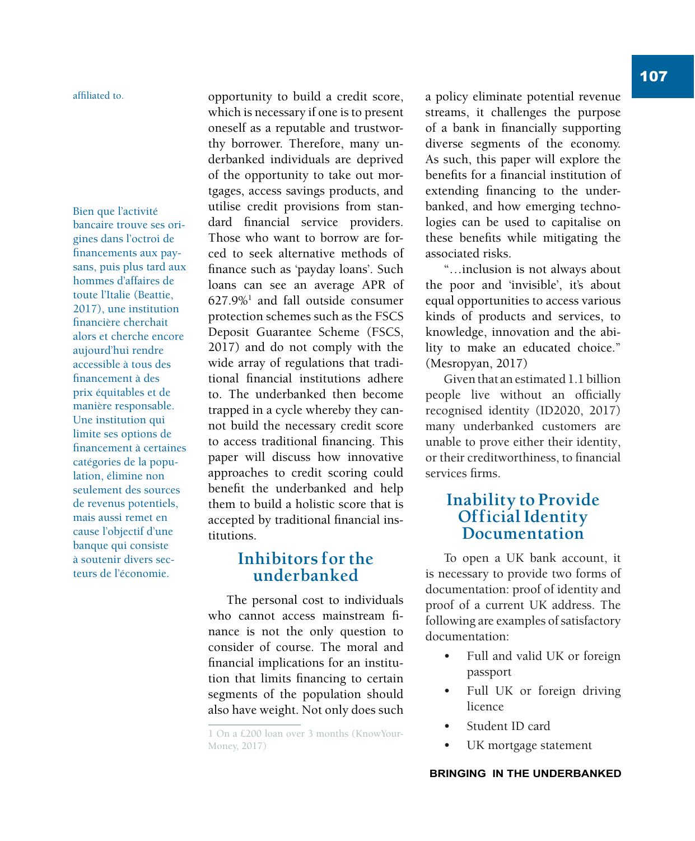#### affiliated to.

Bien que l'activité bancaire trouve ses origines dans l'octroi de financements aux paysans, puis plus tard aux hommes d'affaires de toute l'Italie (Beattie, 2017), une institution financière cherchait alors et cherche encore aujourd'hui rendre accessible à tous des financement à des prix équitables et de manière responsable. Une institution qui limite ses options de financement à certaines catégories de la population, élimine non seulement des sources de revenus potentiels, mais aussi remet en cause l'objectif d'une banque qui consiste à soutenir divers secteurs de l'économie.

opportunity to build a credit score, which is necessary if one is to present oneself as a reputable and trustworthy borrower. Therefore, many underbanked individuals are deprived of the opportunity to take out mortgages, access savings products, and utilise credit provisions from standard financial service providers. Those who want to borrow are forced to seek alternative methods of finance such as 'payday loans'. Such loans can see an average APR of 627.9%<sup>1</sup> and fall outside consumer protection schemes such as the FSCS Deposit Guarantee Scheme (FSCS, 2017) and do not comply with the wide array of regulations that traditional financial institutions adhere to. The underbanked then become trapped in a cycle whereby they cannot build the necessary credit score to access traditional financing. This paper will discuss how innovative approaches to credit scoring could benefit the underbanked and help them to build a holistic score that is accepted by traditional financial institutions.

## **Inhibitors for the underbanked**

The personal cost to individuals who cannot access mainstream finance is not the only question to consider of course. The moral and financial implications for an institution that limits financing to certain segments of the population should also have weight. Not only does such a policy eliminate potential revenue streams, it challenges the purpose of a bank in financially supporting diverse segments of the economy. As such, this paper will explore the benefits for a financial institution of extending financing to the underbanked, and how emerging technologies can be used to capitalise on these benefits while mitigating the associated risks.

"…inclusion is not always about the poor and 'invisible', it's about equal opportunities to access various kinds of products and services, to knowledge, innovation and the ability to make an educated choice." (Mesropyan, 2017)

Given that an estimated 1.1 billion people live without an officially recognised identity (ID2020, 2017) many underbanked customers are unable to prove either their identity, or their creditworthiness, to financial services firms

## **Inability to Provide Official Identity Documentation**

To open a UK bank account, it is necessary to provide two forms of documentation: proof of identity and proof of a current UK address. The following are examples of satisfactory documentation:

- Full and valid UK or foreign passport
- Full UK or foreign driving licence
- Student ID card
- UK mortgage statement

<sup>1</sup> On a £200 loan over 3 months (KnowYour-Money, 2017)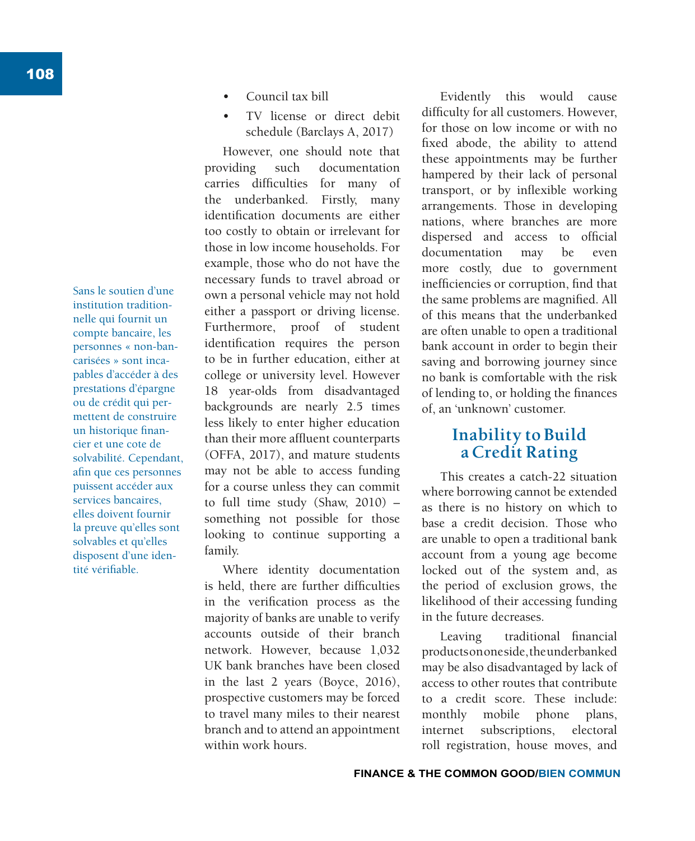Sans le soutien d'une institution traditionnelle qui fournit un compte bancaire, les personnes « non-bancarisées » sont incapables d'accéder à des prestations d'épargne ou de crédit qui permettent de construire un historique financier et une cote de solvabilité. Cependant, afin que ces personnes puissent accéder aux services bancaires, elles doivent fournir la preuve qu'elles sont solvables et qu'elles disposent d'une identité vérifiable.

- Council tax bill
- TV license or direct debit schedule (Barclays A, 2017)

However, one should note that providing such documentation carries difficulties for many of the underbanked. Firstly, many identification documents are either too costly to obtain or irrelevant for those in low income households. For example, those who do not have the necessary funds to travel abroad or own a personal vehicle may not hold either a passport or driving license. Furthermore, proof of student identification requires the person to be in further education, either at college or university level. However 18 year-olds from disadvantaged backgrounds are nearly 2.5 times less likely to enter higher education than their more affluent counterparts (OFFA, 2017), and mature students may not be able to access funding for a course unless they can commit to full time study (Shaw, 2010) – something not possible for those looking to continue supporting a family.

Where identity documentation is held, there are further difficulties in the verification process as the majority of banks are unable to verify accounts outside of their branch network. However, because 1,032 UK bank branches have been closed in the last 2 years (Boyce, 2016), prospective customers may be forced to travel many miles to their nearest branch and to attend an appointment within work hours.

Evidently this would cause difficulty for all customers. However, for those on low income or with no fixed abode, the ability to attend these appointments may be further hampered by their lack of personal transport, or by inflexible working arrangements. Those in developing nations, where branches are more dispersed and access to official documentation may be even more costly, due to government inefficiencies or corruption, find that the same problems are magnified. All of this means that the underbanked are often unable to open a traditional bank account in order to begin their saving and borrowing journey since no bank is comfortable with the risk of lending to, or holding the finances of, an 'unknown' customer.

## **Inability to Build a Credit Rating**

This creates a catch-22 situation where borrowing cannot be extended as there is no history on which to base a credit decision. Those who are unable to open a traditional bank account from a young age become locked out of the system and, as the period of exclusion grows, the likelihood of their accessing funding in the future decreases.

Leaving traditional financial products on one side, the underbanked may be also disadvantaged by lack of access to other routes that contribute to a credit score. These include: monthly mobile phone plans, internet subscriptions, electoral roll registration, house moves, and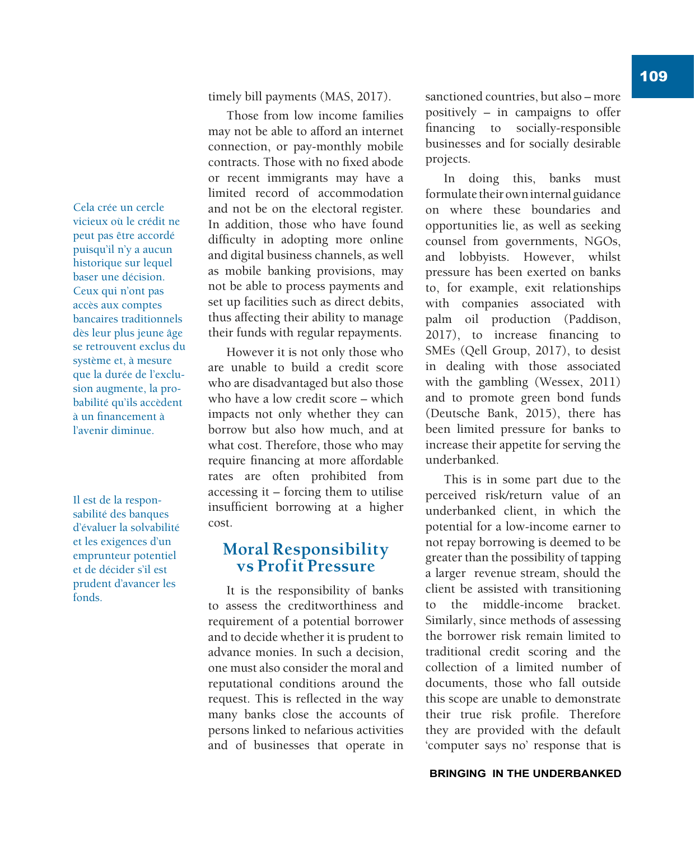109

Cela crée un cercle vicieux où le crédit ne peut pas être accordé puisqu'il n'y a aucun historique sur lequel baser une décision. Ceux qui n'ont pas accès aux comptes bancaires traditionnels dès leur plus jeune âge se retrouvent exclus du système et, à mesure que la durée de l'exclusion augmente, la probabilité qu'ils accèdent à un financement à l'avenir diminue.

Il est de la responsabilité des banques d'évaluer la solvabilité et les exigences d'un emprunteur potentiel et de décider s'il est prudent d'avancer les fonds.

timely bill payments (MAS, 2017).

Those from low income families may not be able to afford an internet connection, or pay-monthly mobile contracts. Those with no fixed abode or recent immigrants may have a limited record of accommodation and not be on the electoral register. In addition, those who have found difficulty in adopting more online and digital business channels, as well as mobile banking provisions, may not be able to process payments and set up facilities such as direct debits, thus affecting their ability to manage their funds with regular repayments.

However it is not only those who are unable to build a credit score who are disadvantaged but also those who have a low credit score – which impacts not only whether they can borrow but also how much, and at what cost. Therefore, those who may require financing at more affordable rates are often prohibited from accessing it – forcing them to utilise insufficient borrowing at a higher cost.

## **Moral Responsibility vs Profit Pressure**

It is the responsibility of banks to assess the creditworthiness and requirement of a potential borrower and to decide whether it is prudent to advance monies. In such a decision, one must also consider the moral and reputational conditions around the request. This is reflected in the way many banks close the accounts of persons linked to nefarious activities and of businesses that operate in sanctioned countries, but also – more positively – in campaigns to offer financing to socially-responsible businesses and for socially desirable projects.

In doing this, banks must formulate their own internal guidance on where these boundaries and opportunities lie, as well as seeking counsel from governments, NGOs, and lobbyists. However, whilst pressure has been exerted on banks to, for example, exit relationships with companies associated with palm oil production (Paddison, 2017), to increase financing to SMEs (Qell Group, 2017), to desist in dealing with those associated with the gambling (Wessex, 2011) and to promote green bond funds (Deutsche Bank, 2015), there has been limited pressure for banks to increase their appetite for serving the underbanked.

This is in some part due to the perceived risk/return value of an underbanked client, in which the potential for a low-income earner to not repay borrowing is deemed to be greater than the possibility of tapping a larger revenue stream, should the client be assisted with transitioning to the middle-income bracket. Similarly, since methods of assessing the borrower risk remain limited to traditional credit scoring and the collection of a limited number of documents, those who fall outside this scope are unable to demonstrate their true risk profile. Therefore they are provided with the default 'computer says no' response that is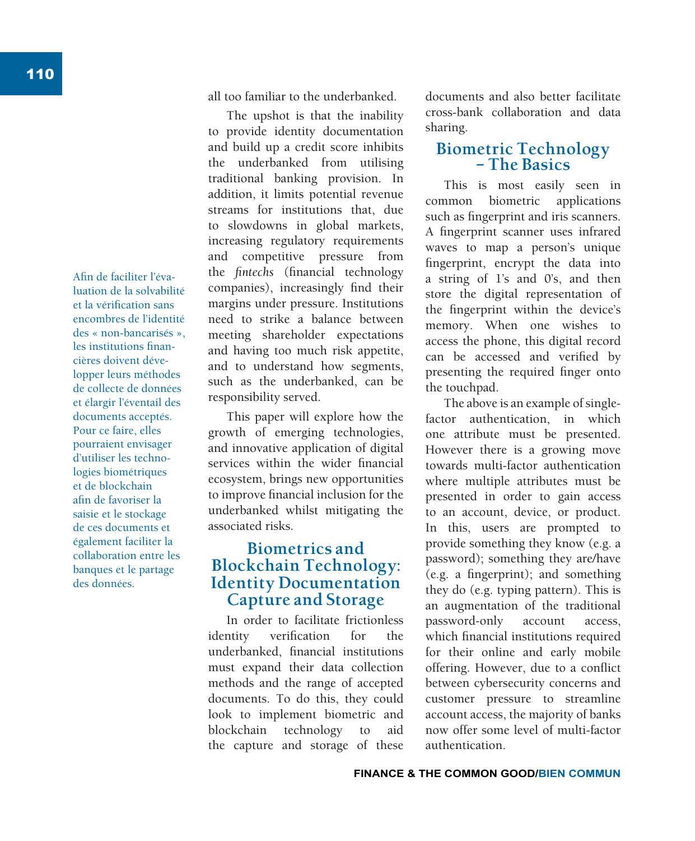Afin de faciliter l'évaluation de la solvabilité et la vérification sans encombres de l'identité des « non-bancarisés », les institutions financières doivent développer leurs méthodes de collecte de données et élargir l'éventail des documents acceptés. Pour ce faire, elles pourraient envisager d'utiliser les technologies biométriques et de blockchain afin de favoriser la saisie et le stockage de ces documents et également faciliter la collaboration entre les banques et le partage des données.

all too familiar to the underbanked.

The upshot is that the inability to provide identity documentation and build up a credit score inhibits the underbanked from utilising traditional banking provision. In addition, it limits potential revenue streams for institutions that, due to slowdowns in global markets, increasing regulatory requirements and competitive pressure from the *fintechs* (financial technology companies), increasingly find their margins under pressure. Institutions need to strike a balance between meeting shareholder expectations and having too much risk appetite, and to understand how segments, such as the underbanked, can be responsibility served.

This paper will explore how the growth of emerging technologies, and innovative application of digital services within the wider financial ecosystem, brings new opportunities to improve financial inclusion for the underbanked whilst mitigating the associated risks.

## **Biometrics and Blockchain Technology: Identity Documentation Capture and Storage**

In order to facilitate frictionless identity verification for the underbanked, financial institutions must expand their data collection methods and the range of accepted documents. To do this, they could look to implement biometric and blockchain technology to aid the capture and storage of these documents and also better facilitate cross-bank collaboration and data sharing.

## **Biometric Technology – The Basics**

This is most easily seen in common biometric applications such as fingerprint and iris scanners. A fingerprint scanner uses infrared waves to map a person's unique fingerprint, encrypt the data into a string of 1's and 0's, and then store the digital representation of the fingerprint within the device's memory. When one wishes to access the phone, this digital record can be accessed and verified by presenting the required finger onto the touchpad.

The above is an example of singlefactor authentication, in which one attribute must be presented. However there is a growing move towards multi-factor authentication where multiple attributes must be presented in order to gain access to an account, device, or product. In this, users are prompted to provide something they know (e.g. a password); something they are/have (e.g. a fingerprint); and something they do (e.g. typing pattern). This is an augmentation of the traditional password-only account access, which financial institutions required for their online and early mobile offering. However, due to a conflict between cybersecurity concerns and customer pressure to streamline account access, the majority of banks now offer some level of multi-factor authentication.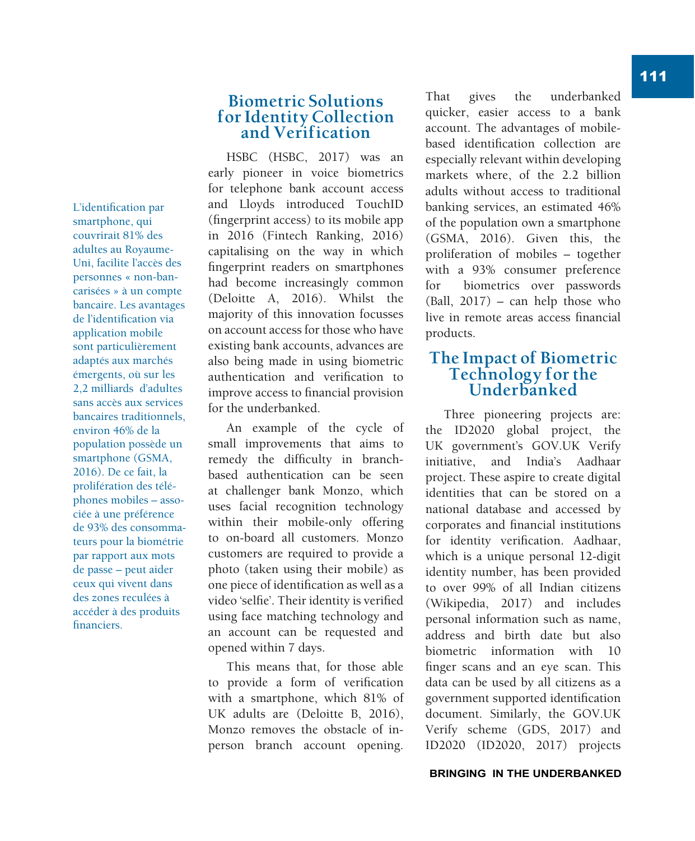L'identification par smartphone, qui couvrirait 81% des adultes au Royaume-Uni, facilite l'accès des personnes « non-bancarisées » à un compte bancaire. Les avantages de l'identification via application mobile sont particulièrement adaptés aux marchés émergents, où sur les 2,2 milliards d'adultes sans accès aux services bancaires traditionnels, environ 46% de la population possède un smartphone (GSMA, 2016). De ce fait, la prolifération des téléphones mobiles – associée à une préférence de 93% des consommateurs pour la biométrie par rapport aux mots de passe – peut aider ceux qui vivent dans des zones reculées à accéder à des produits financiers.

## **Biometric Solutions for Identity Collection and Verification**

HSBC (HSBC, 2017) was an early pioneer in voice biometrics for telephone bank account access and Lloyds introduced TouchID (fingerprint access) to its mobile app in 2016 (Fintech Ranking, 2016) capitalising on the way in which fingerprint readers on smartphones had become increasingly common (Deloitte A, 2016). Whilst the majority of this innovation focusses on account access for those who have existing bank accounts, advances are also being made in using biometric authentication and verification to improve access to financial provision for the underbanked.

An example of the cycle of small improvements that aims to remedy the difficulty in branchbased authentication can be seen at challenger bank Monzo, which uses facial recognition technology within their mobile-only offering to on-board all customers. Monzo customers are required to provide a photo (taken using their mobile) as one piece of identification as well as a video 'selfie'. Their identity is verified using face matching technology and an account can be requested and opened within 7 days.

This means that, for those able to provide a form of verification with a smartphone, which 81% of UK adults are (Deloitte B, 2016), Monzo removes the obstacle of inperson branch account opening. That gives the underbanked quicker, easier access to a bank account. The advantages of mobilebased identification collection are especially relevant within developing markets where, of the 2.2 billion adults without access to traditional banking services, an estimated 46% of the population own a smartphone (GSMA, 2016). Given this, the proliferation of mobiles – together with a 93% consumer preference for biometrics over passwords (Ball, 2017) – can help those who live in remote areas access financial products.

## **The Impact of Biometric Technology for the Underbanked**

Three pioneering projects are: the ID2020 global project, the UK government's GOV.UK Verify initiative, and India's Aadhaar project. These aspire to create digital identities that can be stored on a national database and accessed by corporates and financial institutions for identity verification. Aadhaar, which is a unique personal 12-digit identity number, has been provided to over 99% of all Indian citizens (Wikipedia, 2017) and includes personal information such as name, address and birth date but also biometric information with 10 finger scans and an eye scan. This data can be used by all citizens as a government supported identification document. Similarly, the GOV.UK Verify scheme (GDS, 2017) and ID2020 (ID2020, 2017) projects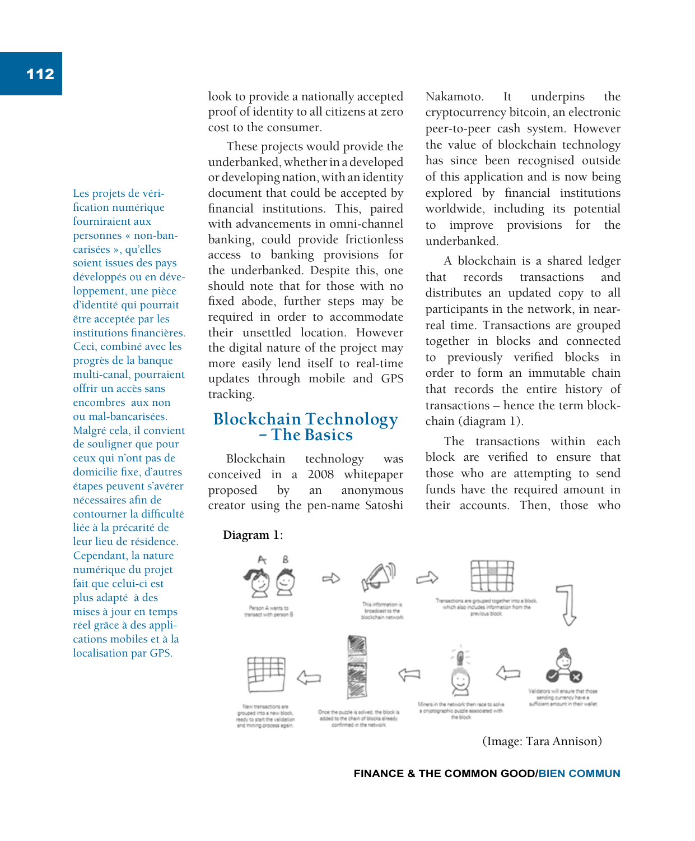Les projets de vérification numérique fourniraient aux personnes « non-bancarisées », qu'elles soient issues des pays développés ou en développement, une pièce d'identité qui pourrait être acceptée par les institutions financières. Ceci, combiné avec les progrès de la banque multi-canal, pourraient offrir un accès sans encombres aux non ou mal-bancarisées. Malgré cela, il convient de souligner que pour ceux qui n'ont pas de domicilie fixe, d'autres étapes peuvent s'avérer nécessaires afin de contourner la difficulté liée à la précarité de leur lieu de résidence. Cependant, la nature numérique du projet fait que celui-ci est plus adapté à des mises à jour en temps réel grâce à des applications mobiles et à la localisation par GPS.

look to provide a nationally accepted proof of identity to all citizens at zero cost to the consumer.

These projects would provide the underbanked, whether in a developed or developing nation, with an identity document that could be accepted by financial institutions. This, paired with advancements in omni-channel banking, could provide frictionless access to banking provisions for the underbanked. Despite this, one should note that for those with no fixed abode, further steps may be required in order to accommodate their unsettled location. However the digital nature of the project may more easily lend itself to real-time updates through mobile and GPS tracking.

### **Blockchain Technology – The Basics**

Blockchain technology was conceived in a 2008 whitepaper proposed by an anonymous creator using the pen-name Satoshi Nakamoto. It underpins the cryptocurrency bitcoin, an electronic peer-to-peer cash system. However the value of blockchain technology has since been recognised outside of this application and is now being explored by financial institutions worldwide, including its potential to improve provisions for the underbanked.

A blockchain is a shared ledger that records transactions and distributes an updated copy to all participants in the network, in nearreal time. Transactions are grouped together in blocks and connected to previously verified blocks in order to form an immutable chain that records the entire history of transactions – hence the term blockchain (diagram 1).

The transactions within each block are verified to ensure that those who are attempting to send funds have the required amount in their accounts. Then, those who

**Diagram 1:**



(Image: Tara Annison)

**FINANCE & THE COMMON GOOD/BIEN COMMUN**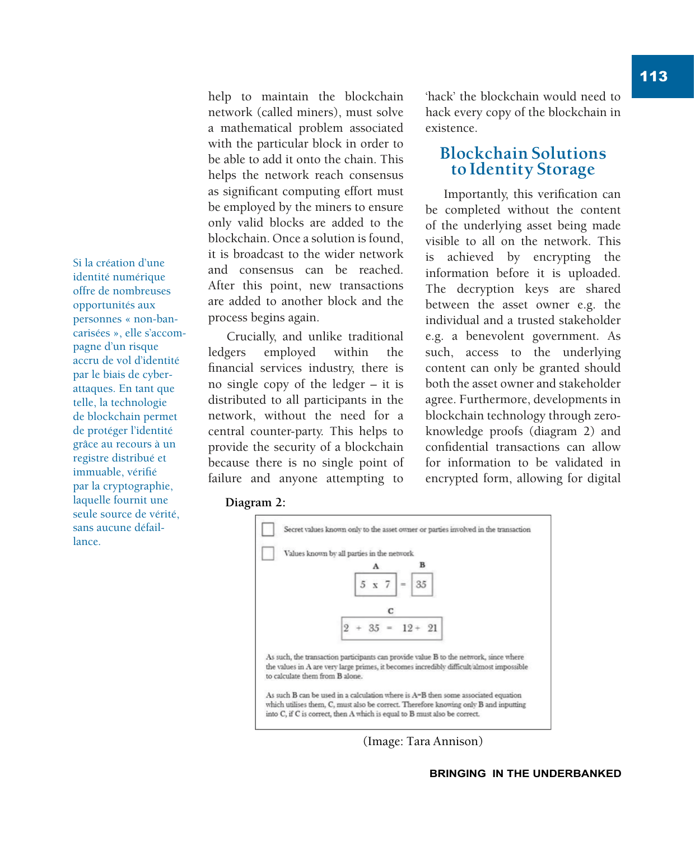Si la création d'une identité numérique offre de nombreuses opportunités aux personnes « non-bancarisées », elle s'accompagne d'un risque accru de vol d'identité par le biais de cyberattaques. En tant que telle, la technologie de blockchain permet de protéger l'identité grâce au recours à un registre distribué et immuable, vérifié par la cryptographie, laquelle fournit une seule source de vérité, sans aucune défaillance.

help to maintain the blockchain network (called miners), must solve a mathematical problem associated with the particular block in order to be able to add it onto the chain. This helps the network reach consensus as significant computing effort must be employed by the miners to ensure only valid blocks are added to the blockchain. Once a solution is found, it is broadcast to the wider network and consensus can be reached. After this point, new transactions are added to another block and the process begins again.

Crucially, and unlike traditional ledgers employed within the financial services industry, there is no single copy of the ledger – it is distributed to all participants in the network, without the need for a central counter-party. This helps to provide the security of a blockchain because there is no single point of failure and anyone attempting to 'hack' the blockchain would need to hack every copy of the blockchain in existence.

## **Blockchain Solutions to Identity Storage**

Importantly, this verification can be completed without the content of the underlying asset being made visible to all on the network. This is achieved by encrypting the information before it is uploaded. The decryption keys are shared between the asset owner e.g. the individual and a trusted stakeholder e.g. a benevolent government. As such, access to the underlying content can only be granted should both the asset owner and stakeholder agree. Furthermore, developments in blockchain technology through zeroknowledge proofs (diagram 2) and confidential transactions can allow for information to be validated in encrypted form, allowing for digital

#### **Diagram 2:**



(Image: Tara Annison)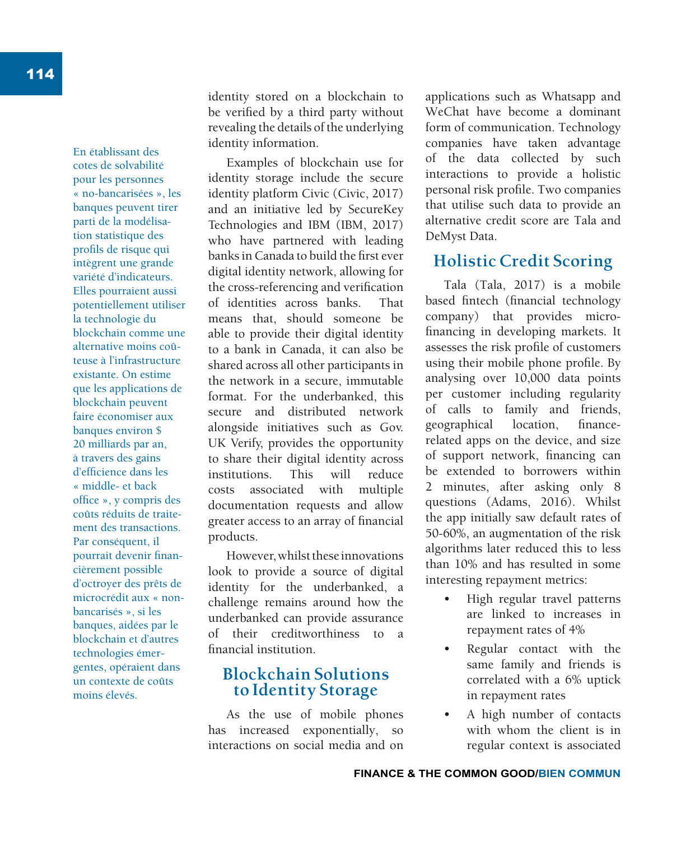En établissant des cotes de solvabilité pour les personnes « no-bancarisées », les banques peuvent tirer parti de la modélisation statistique des profils de risque qui intègrent une grande variété d'indicateurs. Elles pourraient aussi potentiellement utiliser la technologie du blockchain comme une alternative moins coûteuse à l'infrastructure existante. On estime que les applications de blockchain peuvent faire économiser aux banques environ \$ 20 milliards par an, à travers des gains d'efficience dans les « middle- et back office », y compris des coûts réduits de traitement des transactions. Par conséquent, il pourrait devenir financièrement possible d'octroyer des prêts de microcrédit aux « nonbancarisés », si les banques, aidées par le blockchain et d'autres technologies émergentes, opéraient dans un contexte de coûts moins élevés.

identity stored on a blockchain to be verified by a third party without revealing the details of the underlying identity information.

Examples of blockchain use for identity storage include the secure identity platform Civic (Civic, 2017) and an initiative led by SecureKey Technologies and IBM (IBM, 2017) who have partnered with leading banks in Canada to build the first ever digital identity network, allowing for the cross-referencing and verification of identities across banks. That means that, should someone be able to provide their digital identity to a bank in Canada, it can also be shared across all other participants in the network in a secure, immutable format. For the underbanked, this secure and distributed network alongside initiatives such as Gov. UK Verify, provides the opportunity to share their digital identity across institutions. This will reduce costs associated with multiple documentation requests and allow greater access to an array of financial products.

However, whilst these innovations look to provide a source of digital identity for the underbanked, a challenge remains around how the underbanked can provide assurance of their creditworthiness to a financial institution.

## **Blockchain Solutions to Identity Storage**

As the use of mobile phones has increased exponentially, so interactions on social media and on applications such as Whatsapp and WeChat have become a dominant form of communication. Technology companies have taken advantage of the data collected by such interactions to provide a holistic personal risk profile. Two companies that utilise such data to provide an alternative credit score are Tala and DeMyst Data.

## **Holistic Credit Scoring**

Tala (Tala, 2017) is a mobile based fintech (financial technology company) that provides microfinancing in developing markets. It assesses the risk profile of customers using their mobile phone profile. By analysing over 10,000 data points per customer including regularity of calls to family and friends, geographical location, financerelated apps on the device, and size of support network, financing can be extended to borrowers within 2 minutes, after asking only 8 questions (Adams, 2016). Whilst the app initially saw default rates of 50-60%, an augmentation of the risk algorithms later reduced this to less than 10% and has resulted in some interesting repayment metrics:

- High regular travel patterns are linked to increases in repayment rates of 4%
- Regular contact with the same family and friends is correlated with a 6% uptick in repayment rates
- A high number of contacts with whom the client is in regular context is associated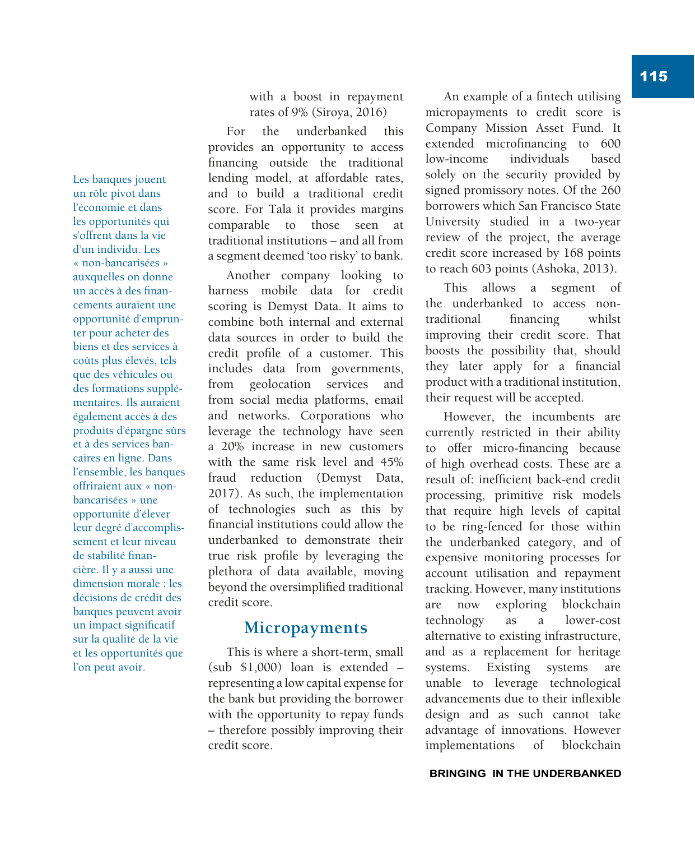Les banques jouent un rôle pivot dans l'économie et dans les opportunités qui s'offrent dans la vie d'un individu. Les « non-bancarisées » auxquelles on donne un accès à des financements auraient une opportunité d'emprunter pour acheter des biens et des services à coûts plus élevés, tels que des véhicules ou des formations supplémentaires. Ils auraient également accès à des produits d'épargne sûrs et à des services bancaires en ligne. Dans l'ensemble, les banques offriraient aux « nonbancarisées » une opportunité d'élever leur degré d'accomplissement et leur niveau de stabilité financière. Il y a aussi une dimension morale : les décisions de crédit des banques peuvent avoir un impact significatif sur la qualité de la vie et les opportunités que l'on peut avoir.

with a boost in repayment rates of 9% (Siroya, 2016)

For the underbanked this provides an opportunity to access financing outside the traditional lending model, at affordable rates, and to build a traditional credit score. For Tala it provides margins comparable to those seen at traditional institutions – and all from a segment deemed 'too risky' to bank.

Another company looking to harness mobile data for credit scoring is Demyst Data. It aims to combine both internal and external data sources in order to build the credit profile of a customer. This includes data from governments, from geolocation services and from social media platforms, email and networks. Corporations who leverage the technology have seen a 20% increase in new customers with the same risk level and 45% fraud reduction (Demyst Data, 2017). As such, the implementation of technologies such as this by financial institutions could allow the underbanked to demonstrate their true risk profile by leveraging the plethora of data available, moving beyond the oversimplified traditional credit score.

## **Micropayments**

This is where a short-term, small (sub \$1,000) loan is extended – representing a low capital expense for the bank but providing the borrower with the opportunity to repay funds – therefore possibly improving their credit score.

An example of a fintech utilising micropayments to credit score is Company Mission Asset Fund. It extended microfinancing to 600 low-income individuals based solely on the security provided by signed promissory notes. Of the 260 borrowers which San Francisco State University studied in a two-year review of the project, the average credit score increased by 168 points to reach 603 points (Ashoka, 2013).

This allows a segment of the underbanked to access nontraditional financing whilst improving their credit score. That boosts the possibility that, should they later apply for a financial product with a traditional institution, their request will be accepted.

However, the incumbents are currently restricted in their ability to offer micro-financing because of high overhead costs. These are a result of: inefficient back-end credit processing, primitive risk models that require high levels of capital to be ring-fenced for those within the underbanked category, and of expensive monitoring processes for account utilisation and repayment tracking. However, many institutions are now exploring blockchain technology as a lower-cost alternative to existing infrastructure, and as a replacement for heritage systems. Existing systems are unable to leverage technological advancements due to their inflexible design and as such cannot take advantage of innovations. However implementations of blockchain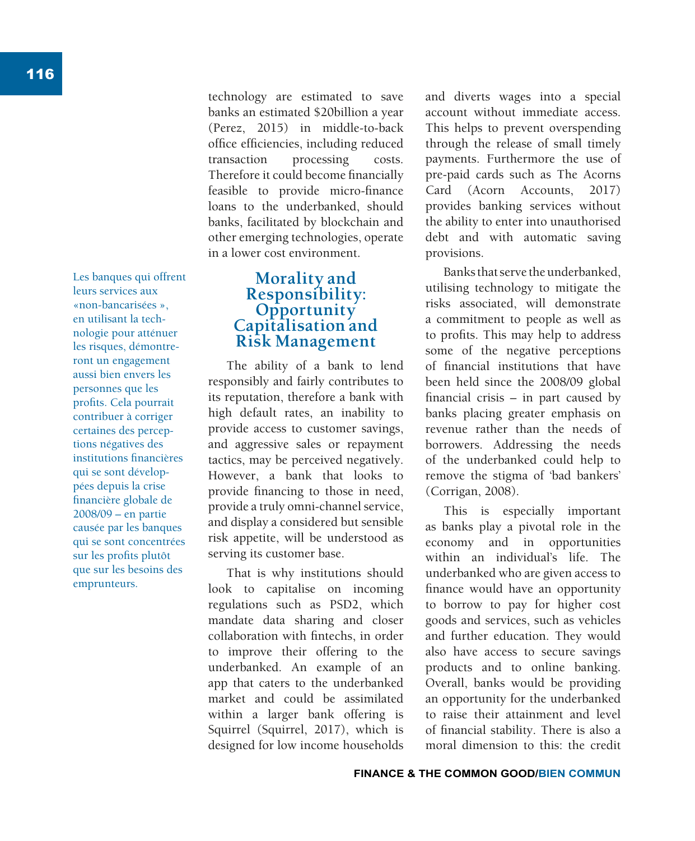Les banques qui offrent leurs services aux «non-bancarisées », en utilisant la technologie pour atténuer les risques, démontreront un engagement aussi bien envers les personnes que les profits. Cela pourrait contribuer à corriger certaines des perceptions négatives des institutions financières qui se sont développées depuis la crise financière globale de 2008/09 – en partie causée par les banques qui se sont concentrées sur les profits plutôt que sur les besoins des emprunteurs.

technology are estimated to save banks an estimated \$20billion a year (Perez, 2015) in middle-to-back office efficiencies, including reduced transaction processing costs. Therefore it could become financially feasible to provide micro-finance loans to the underbanked, should banks, facilitated by blockchain and other emerging technologies, operate in a lower cost environment.

## **Morality and Responsibility: Opportunity Capitalisation and Risk Management**

The ability of a bank to lend responsibly and fairly contributes to its reputation, therefore a bank with high default rates, an inability to provide access to customer savings, and aggressive sales or repayment tactics, may be perceived negatively. However, a bank that looks to provide financing to those in need, provide a truly omni-channel service, and display a considered but sensible risk appetite, will be understood as serving its customer base.

That is why institutions should look to capitalise on incoming regulations such as PSD2, which mandate data sharing and closer collaboration with fintechs, in order to improve their offering to the underbanked. An example of an app that caters to the underbanked market and could be assimilated within a larger bank offering is Squirrel (Squirrel, 2017), which is designed for low income households and diverts wages into a special account without immediate access. This helps to prevent overspending through the release of small timely payments. Furthermore the use of pre-paid cards such as The Acorns Card (Acorn Accounts, 2017) provides banking services without the ability to enter into unauthorised debt and with automatic saving provisions.

Banks that serve the underbanked, utilising technology to mitigate the risks associated, will demonstrate a commitment to people as well as to profits. This may help to address some of the negative perceptions of financial institutions that have been held since the 2008/09 global financial crisis  $-$  in part caused by banks placing greater emphasis on revenue rather than the needs of borrowers. Addressing the needs of the underbanked could help to remove the stigma of 'bad bankers' (Corrigan, 2008).

This is especially important as banks play a pivotal role in the economy and in opportunities within an individual's life. The underbanked who are given access to finance would have an opportunity to borrow to pay for higher cost goods and services, such as vehicles and further education. They would also have access to secure savings products and to online banking. Overall, banks would be providing an opportunity for the underbanked to raise their attainment and level of financial stability. There is also a moral dimension to this: the credit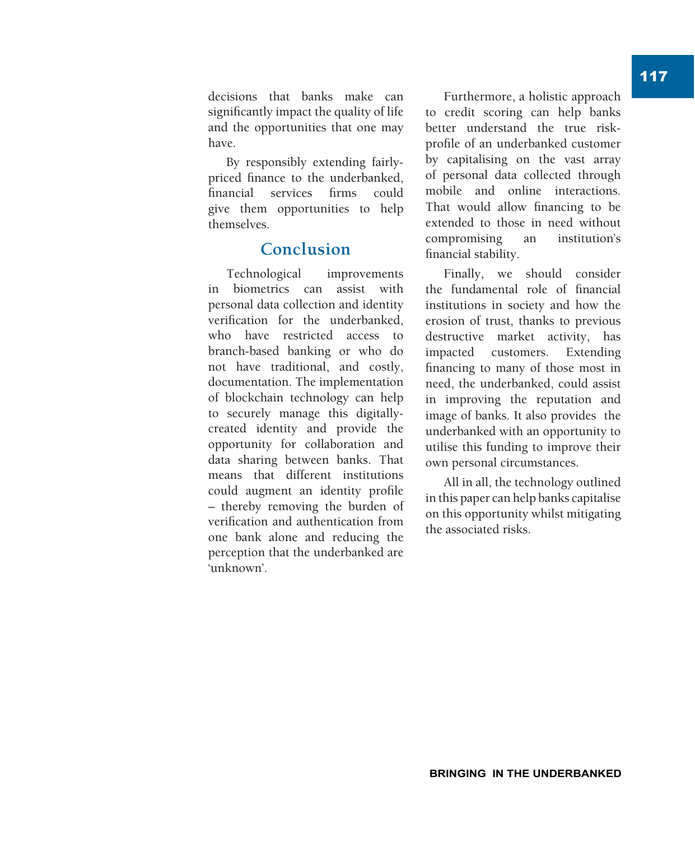have. By responsibly extending fairlypriced finance to the underbanked, financial services firms could give them opportunities to help

## **Conclusion**

themselves.

Technological improvements in biometrics can assist with personal data collection and identity verification for the underbanked, who have restricted access to branch-based banking or who do not have traditional, and costly, documentation. The implementation of blockchain technology can help to securely manage this digitallycreated identity and provide the opportunity for collaboration and data sharing between banks. That means that different institutions could augment an identity profile – thereby removing the burden of verification and authentication from one bank alone and reducing the perception that the underbanked are 'unknown'.

Furthermore, a holistic approach to credit scoring can help banks better understand the true riskprofile of an underbanked customer by capitalising on the vast array of personal data collected through mobile and online interactions. That would allow financing to be extended to those in need without compromising an institution's financial stability.

Finally, we should consider the fundamental role of financial institutions in society and how the erosion of trust, thanks to previous destructive market activity, has impacted customers. Extending financing to many of those most in need, the underbanked, could assist in improving the reputation and image of banks. It also provides the underbanked with an opportunity to utilise this funding to improve their own personal circumstances.

All in all, the technology outlined in this paper can help banks capitalise on this opportunity whilst mitigating the associated risks.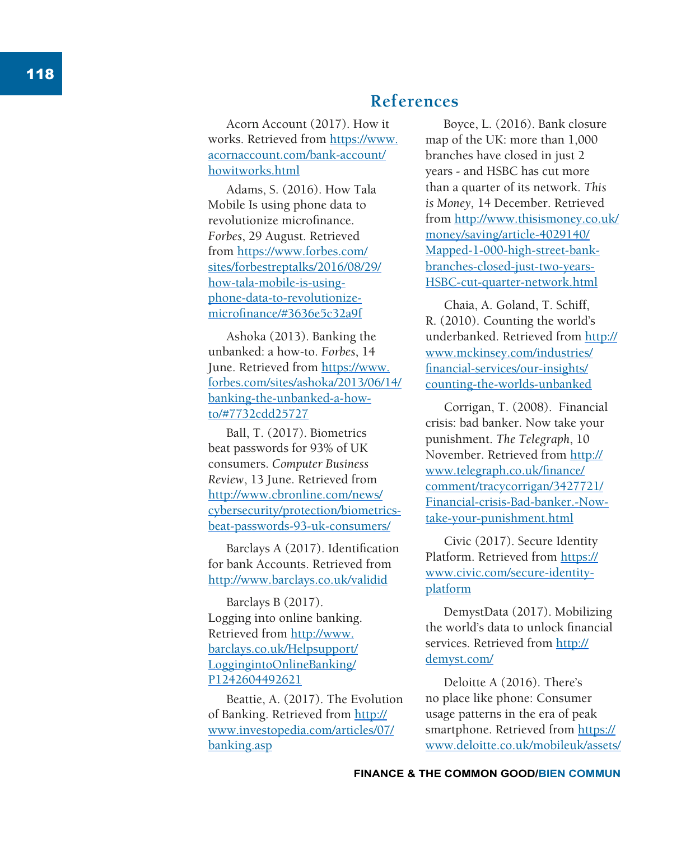# **References**

Acorn Account (2017). How it works. Retrieved from https://www. acornaccount.com/bank-account/ howitworks.html

Adams, S. (2016). How Tala Mobile Is using phone data to revolutionize microfinance. *Forbes*, 29 August. Retrieved from https://www.forbes.com/ sites/forbestreptalks/2016/08/29/ how-tala-mobile-is-usingphone-data-to-revolutionizemicrofinance/#3636e5c32a9f

Ashoka (2013). Banking the unbanked: a how-to. *Forbes*, 14 June. Retrieved from https://www. forbes.com/sites/ashoka/2013/06/14/ banking-the-unbanked-a-howto/#7732cdd25727

Ball, T. (2017). Biometrics beat passwords for 93% of UK consumers. *Computer Business Review*, 13 June. Retrieved from http://www.cbronline.com/news/ cybersecurity/protection/biometricsbeat-passwords-93-uk-consumers/

Barclays A (2017). Identification for bank Accounts. Retrieved from http://www.barclays.co.uk/validid

Barclays B (2017). Logging into online banking. Retrieved from http://www. barclays.co.uk/Helpsupport/ LoggingintoOnlineBanking/ P1242604492621

Beattie, A. (2017). The Evolution of Banking. Retrieved from http:// www.investopedia.com/articles/07/ banking.asp

Boyce, L. (2016). Bank closure map of the UK: more than 1,000 branches have closed in just 2 years - and HSBC has cut more than a quarter of its network. *This is Money,* 14 December. Retrieved from http://www.thisismoney.co.uk/ money/saving/article-4029140/ Mapped-1-000-high-street-bankbranches-closed-just-two-years-HSBC-cut-quarter-network.html

Chaia, A. Goland, T. Schiff, R. (2010). Counting the world's underbanked. Retrieved from http:// www.mckinsey.com/industries/ financial-services/our-insights/ counting-the-worlds-unbanked

Corrigan, T. (2008). Financial crisis: bad banker. Now take your punishment. *The Telegraph*, 10 November. Retrieved from http:// www.telegraph.co.uk/finance/ comment/tracycorrigan/3427721/ Financial-crisis-Bad-banker.-Nowtake-your-punishment.html

Civic (2017). Secure Identity Platform. Retrieved from https:// www.civic.com/secure-identityplatform

DemystData (2017). Mobilizing the world's data to unlock financial services. Retrieved from http:// demyst.com/

Deloitte A (2016). There's no place like phone: Consumer usage patterns in the era of peak smartphone. Retrieved from https:// www.deloitte.co.uk/mobileuk/assets/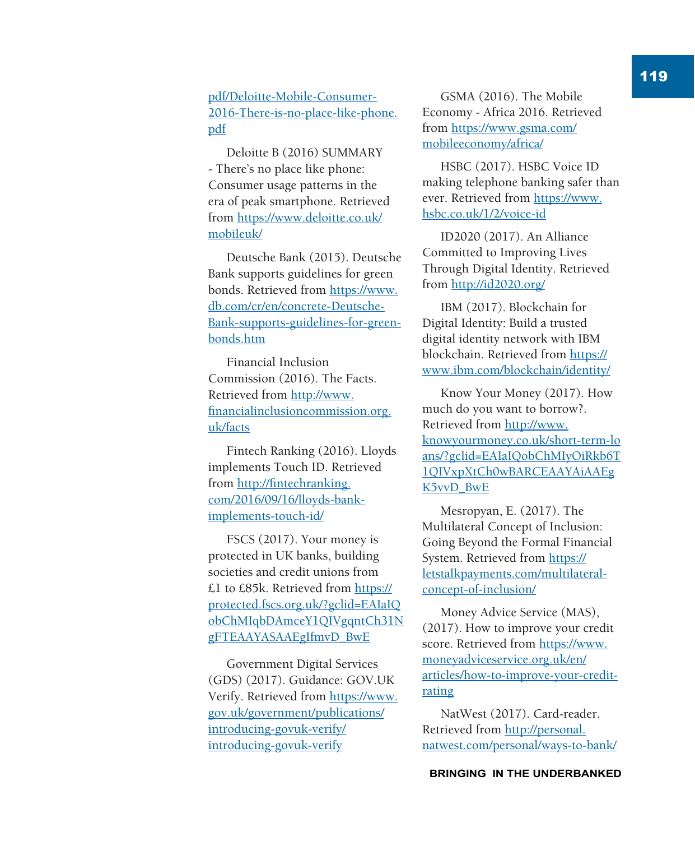## pdf/Deloitte-Mobile-Consumer-2016-There-is-no-place-like-phone. pdf

Deloitte B (2016) SUMMARY - There's no place like phone: Consumer usage patterns in the era of peak smartphone. Retrieved from https://www.deloitte.co.uk/ mobileuk/

Deutsche Bank (2015). Deutsche Bank supports guidelines for green bonds. Retrieved from https://www. db.com/cr/en/concrete-Deutsche-Bank-supports-guidelines-for-greenbonds.htm

Financial Inclusion Commission (2016). The Facts. Retrieved from http://www. financialinclusioncommission.org. uk/facts

Fintech Ranking (2016). Lloyds implements Touch ID. Retrieved from http://fintechranking. com/2016/09/16/lloyds-bankimplements-touch-id/

FSCS (2017). Your money is protected in UK banks, building societies and credit unions from £1 to £85k. Retrieved from https:// protected.fscs.org.uk/?gclid=EAIaIQ obChMIqbDAmceY1QIVgqntCh31N gFTEAAYASAAEgIfmvD\_BwE

Government Digital Services (GDS) (2017). Guidance: GOV.UK Verify. Retrieved from https://www. gov.uk/government/publications/ introducing-govuk-verify/ introducing-govuk-verify

GSMA (2016). The Mobile Economy - Africa 2016. Retrieved from https://www.gsma.com/ mobileeconomy/africa/

HSBC (2017). HSBC Voice ID making telephone banking safer than ever. Retrieved from https://www. hsbc.co.uk/1/2/voice-id

ID2020 (2017). An Alliance Committed to Improving Lives Through Digital Identity. Retrieved from http://id2020.org/

IBM (2017). Blockchain for Digital Identity: Build a trusted digital identity network with IBM blockchain. Retrieved from https:// www.ibm.com/blockchain/identity/

Know Your Money (2017). How much do you want to borrow?. Retrieved from http://www. knowyourmoney.co.uk/short-term-lo ans/?gclid=EAIaIQobChMIyOiRkb6T 1QIVxpXtCh0wBARCEAAYAiAAEg K5vvD\_BwE

Mesropyan, E. (2017). The Multilateral Concept of Inclusion: Going Beyond the Formal Financial System. Retrieved from https:// letstalkpayments.com/multilateralconcept-of-inclusion/

Money Advice Service (MAS), (2017). How to improve your credit score. Retrieved from https://www. moneyadviceservice.org.uk/en/ articles/how-to-improve-your-creditrating

NatWest (2017). Card-reader. Retrieved from http://personal. natwest.com/personal/ways-to-bank/